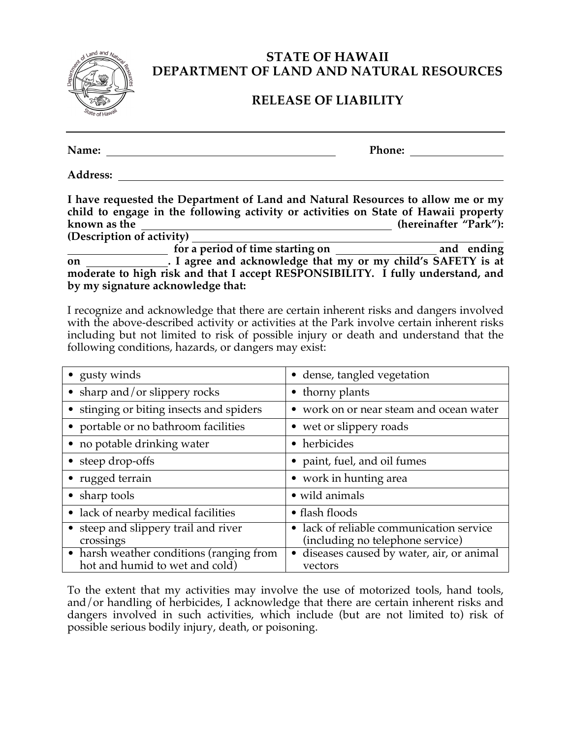

## **STATE OF HAWAII DEPARTMENT OF LAND AND NATURAL RESOURCES**

## **RELEASE OF LIABILITY**

| Name:           |                                                                                                                                                                        | <b>Phone:</b>         |
|-----------------|------------------------------------------------------------------------------------------------------------------------------------------------------------------------|-----------------------|
| <b>Address:</b> |                                                                                                                                                                        |                       |
|                 | I have requested the Department of Land and Natural Resources to allow me or my<br>child to engage in the following activity or activities on State of Hawaii property |                       |
| known as the    |                                                                                                                                                                        | (hereinafter "Park"): |
|                 | (Description of activity)                                                                                                                                              |                       |
|                 |                                                                                                                                                                        |                       |
| on              | . I agree and acknowledge that my or my child's SAFETY is at                                                                                                           |                       |
|                 | moderate to high risk and that I accept RESPONSIBILITY. I fully understand, and                                                                                        |                       |
|                 | by my signature acknowledge that:                                                                                                                                      |                       |

I recognize and acknowledge that there are certain inherent risks and dangers involved with the above-described activity or activities at the Park involve certain inherent risks including but not limited to risk of possible injury or death and understand that the following conditions, hazards, or dangers may exist:

| • gusty winds                                                              | • dense, tangled vegetation                                                  |  |
|----------------------------------------------------------------------------|------------------------------------------------------------------------------|--|
| • sharp and/or slippery rocks                                              | • thorny plants                                                              |  |
| • stinging or biting insects and spiders                                   | • work on or near steam and ocean water                                      |  |
| • portable or no bathroom facilities                                       | • wet or slippery roads                                                      |  |
| • no potable drinking water                                                | • herbicides                                                                 |  |
| • steep drop-offs                                                          | • paint, fuel, and oil fumes                                                 |  |
| • rugged terrain                                                           | • work in hunting area                                                       |  |
| $\bullet$ sharp tools                                                      | $\bullet$ wild animals                                                       |  |
| • lack of nearby medical facilities                                        | $\bullet$ flash floods                                                       |  |
| • steep and slippery trail and river<br>crossings                          | • lack of reliable communication service<br>(including no telephone service) |  |
| • harsh weather conditions (ranging from<br>hot and humid to wet and cold) | diseases caused by water, air, or animal<br>vectors                          |  |

To the extent that my activities may involve the use of motorized tools, hand tools, and/or handling of herbicides, I acknowledge that there are certain inherent risks and dangers involved in such activities, which include (but are not limited to) risk of possible serious bodily injury, death, or poisoning.